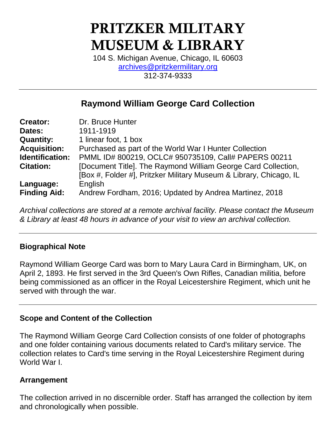# **PRITZKER MILITARY MUSEUM & LIBRARY**

104 S. Michigan Avenue, Chicago, IL 60603 [archives@pritzkermilitary.org](mailto:archives@pritzkermilitary.org) 312-374-9333

## **Raymond William George Card Collection**

| <b>Creator:</b>     | Dr. Bruce Hunter                                                   |
|---------------------|--------------------------------------------------------------------|
| Dates:              | 1911-1919                                                          |
| <b>Quantity:</b>    | 1 linear foot, 1 box                                               |
| <b>Acquisition:</b> | Purchased as part of the World War I Hunter Collection             |
| Identification:     | PMML ID# 800219, OCLC# 950735109, Call# PAPERS 00211               |
| <b>Citation:</b>    | [Document Title]. The Raymond William George Card Collection,      |
|                     | [Box #, Folder #], Pritzker Military Museum & Library, Chicago, IL |
| Language:           | English                                                            |
| <b>Finding Aid:</b> | Andrew Fordham, 2016; Updated by Andrea Martinez, 2018             |

*Archival collections are stored at a remote archival facility. Please contact the Museum & Library at least 48 hours in advance of your visit to view an archival collection.*

## **Biographical Note**

Raymond William George Card was born to Mary Laura Card in Birmingham, UK, on April 2, 1893. He first served in the 3rd Queen's Own Rifles, Canadian militia, before being commissioned as an officer in the Royal Leicestershire Regiment, which unit he served with through the war.

## **Scope and Content of the Collection**

The Raymond William George Card Collection consists of one folder of photographs and one folder containing various documents related to Card's military service. The collection relates to Card's time serving in the Royal Leicestershire Regiment during World War I.

### **Arrangement**

The collection arrived in no discernible order. Staff has arranged the collection by item and chronologically when possible.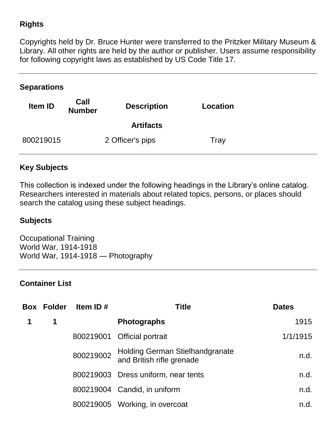## **Rights**

Copyrights held by Dr. Bruce Hunter were transferred to the Pritzker Military Museum & Library. All other rights are held by the author or publisher. Users assume responsibility for following copyright laws as established by US Code Title 17.

### **Separations**

| Item ID   | Call<br><b>Number</b> | <b>Description</b> | Location |
|-----------|-----------------------|--------------------|----------|
|           |                       | <b>Artifacts</b>   |          |
| 800219015 |                       | 2 Officer's pips   | Tray     |

## **Key Subjects**

This collection is indexed under the following headings in the Library's online catalog. Researchers interested in materials about related topics, persons, or places should search the catalog using these subject headings.

#### **Subjects**

Occupational Training World War, 1914-1918 World War, 1914-1918 — Photography

### **Container List**

| <b>Box Folder</b> | Item ID $#$ | <b>Title</b>                                                 | <b>Dates</b> |
|-------------------|-------------|--------------------------------------------------------------|--------------|
| 1                 |             | <b>Photographs</b>                                           | 1915         |
|                   |             | 800219001 Official portrait                                  | 1/1/1915     |
|                   | 800219002   | Holding German Stielhandgranate<br>and British rifle grenade | n.d.         |
|                   |             | 800219003 Dress uniform, near tents                          | n.d.         |
|                   |             | 800219004 Candid, in uniform                                 | n.d.         |
|                   |             | 800219005 Working, in overcoat                               | n.d.         |